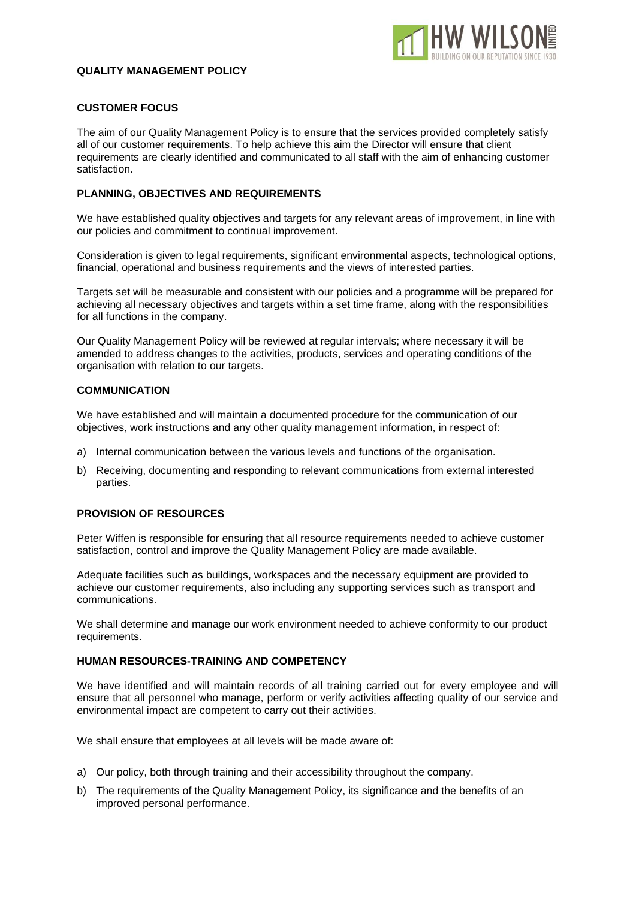

#### **CUSTOMER FOCUS**

The aim of our Quality Management Policy is to ensure that the services provided completely satisfy all of our customer requirements. To help achieve this aim the Director will ensure that client requirements are clearly identified and communicated to all staff with the aim of enhancing customer satisfaction.

## **PLANNING, OBJECTIVES AND REQUIREMENTS**

We have established quality objectives and targets for any relevant areas of improvement, in line with our policies and commitment to continual improvement.

Consideration is given to legal requirements, significant environmental aspects, technological options, financial, operational and business requirements and the views of interested parties.

Targets set will be measurable and consistent with our policies and a programme will be prepared for achieving all necessary objectives and targets within a set time frame, along with the responsibilities for all functions in the company.

Our Quality Management Policy will be reviewed at regular intervals; where necessary it will be amended to address changes to the activities, products, services and operating conditions of the organisation with relation to our targets.

#### **COMMUNICATION**

We have established and will maintain a documented procedure for the communication of our objectives, work instructions and any other quality management information, in respect of:

- a) Internal communication between the various levels and functions of the organisation.
- b) Receiving, documenting and responding to relevant communications from external interested parties.

# **PROVISION OF RESOURCES**

Peter Wiffen is responsible for ensuring that all resource requirements needed to achieve customer satisfaction, control and improve the Quality Management Policy are made available.

Adequate facilities such as buildings, workspaces and the necessary equipment are provided to achieve our customer requirements, also including any supporting services such as transport and communications.

We shall determine and manage our work environment needed to achieve conformity to our product requirements.

## **HUMAN RESOURCES-TRAINING AND COMPETENCY**

We have identified and will maintain records of all training carried out for every employee and will ensure that all personnel who manage, perform or verify activities affecting quality of our service and environmental impact are competent to carry out their activities.

We shall ensure that employees at all levels will be made aware of:

- a) Our policy, both through training and their accessibility throughout the company.
- b) The requirements of the Quality Management Policy, its significance and the benefits of an improved personal performance.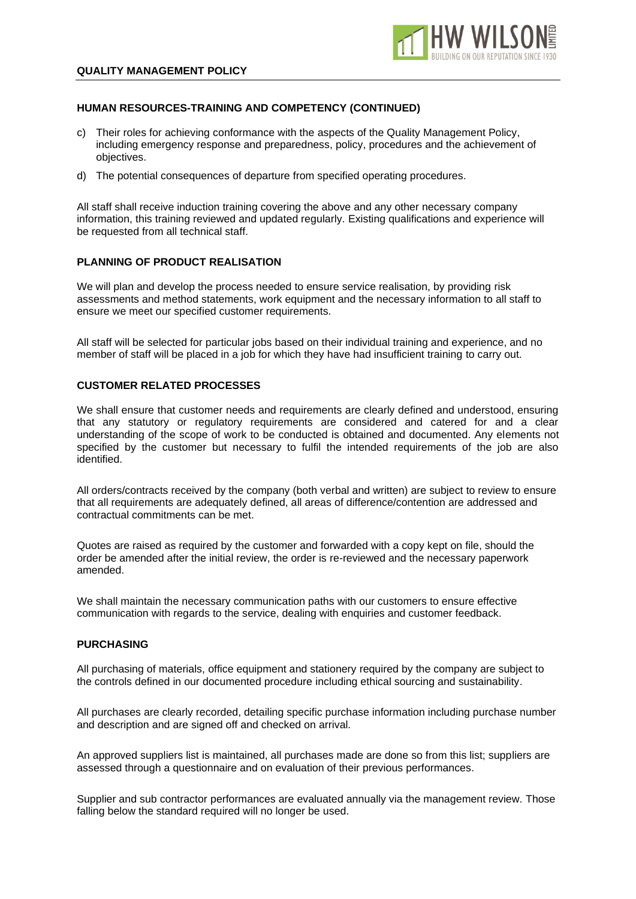

# **HUMAN RESOURCES-TRAINING AND COMPETENCY (CONTINUED)**

- c) Their roles for achieving conformance with the aspects of the Quality Management Policy, including emergency response and preparedness, policy, procedures and the achievement of objectives.
- d) The potential consequences of departure from specified operating procedures.

All staff shall receive induction training covering the above and any other necessary company information, this training reviewed and updated regularly. Existing qualifications and experience will be requested from all technical staff.

## **PLANNING OF PRODUCT REALISATION**

We will plan and develop the process needed to ensure service realisation, by providing risk assessments and method statements, work equipment and the necessary information to all staff to ensure we meet our specified customer requirements.

All staff will be selected for particular jobs based on their individual training and experience, and no member of staff will be placed in a job for which they have had insufficient training to carry out.

## **CUSTOMER RELATED PROCESSES**

We shall ensure that customer needs and requirements are clearly defined and understood, ensuring that any statutory or regulatory requirements are considered and catered for and a clear understanding of the scope of work to be conducted is obtained and documented. Any elements not specified by the customer but necessary to fulfil the intended requirements of the job are also identified.

All orders/contracts received by the company (both verbal and written) are subject to review to ensure that all requirements are adequately defined, all areas of difference/contention are addressed and contractual commitments can be met.

Quotes are raised as required by the customer and forwarded with a copy kept on file, should the order be amended after the initial review, the order is re-reviewed and the necessary paperwork amended.

We shall maintain the necessary communication paths with our customers to ensure effective communication with regards to the service, dealing with enquiries and customer feedback.

#### **PURCHASING**

All purchasing of materials, office equipment and stationery required by the company are subject to the controls defined in our documented procedure including ethical sourcing and sustainability.

All purchases are clearly recorded, detailing specific purchase information including purchase number and description and are signed off and checked on arrival.

An approved suppliers list is maintained, all purchases made are done so from this list; suppliers are assessed through a questionnaire and on evaluation of their previous performances.

Supplier and sub contractor performances are evaluated annually via the management review. Those falling below the standard required will no longer be used.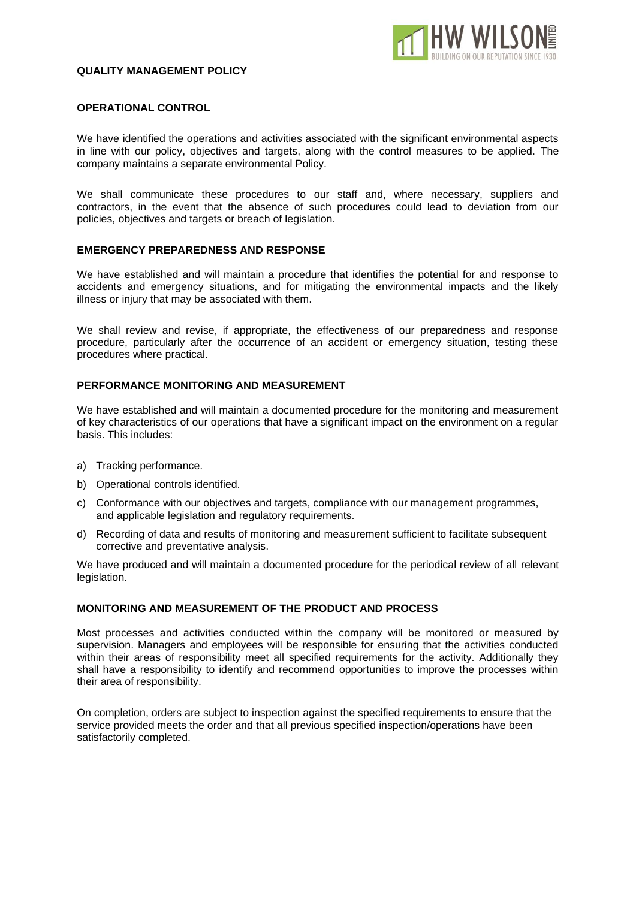

#### **OPERATIONAL CONTROL**

We have identified the operations and activities associated with the significant environmental aspects in line with our policy, objectives and targets, along with the control measures to be applied. The company maintains a separate environmental Policy.

We shall communicate these procedures to our staff and, where necessary, suppliers and contractors, in the event that the absence of such procedures could lead to deviation from our policies, objectives and targets or breach of legislation.

#### **EMERGENCY PREPAREDNESS AND RESPONSE**

We have established and will maintain a procedure that identifies the potential for and response to accidents and emergency situations, and for mitigating the environmental impacts and the likely illness or injury that may be associated with them.

We shall review and revise, if appropriate, the effectiveness of our preparedness and response procedure, particularly after the occurrence of an accident or emergency situation, testing these procedures where practical.

#### **PERFORMANCE MONITORING AND MEASUREMENT**

We have established and will maintain a documented procedure for the monitoring and measurement of key characteristics of our operations that have a significant impact on the environment on a regular basis. This includes:

- a) Tracking performance.
- b) Operational controls identified.
- c) Conformance with our objectives and targets, compliance with our management programmes, and applicable legislation and regulatory requirements.
- d) Recording of data and results of monitoring and measurement sufficient to facilitate subsequent corrective and preventative analysis.

We have produced and will maintain a documented procedure for the periodical review of all relevant legislation.

#### **MONITORING AND MEASUREMENT OF THE PRODUCT AND PROCESS**

Most processes and activities conducted within the company will be monitored or measured by supervision. Managers and employees will be responsible for ensuring that the activities conducted within their areas of responsibility meet all specified requirements for the activity. Additionally they shall have a responsibility to identify and recommend opportunities to improve the processes within their area of responsibility.

On completion, orders are subject to inspection against the specified requirements to ensure that the service provided meets the order and that all previous specified inspection/operations have been satisfactorily completed.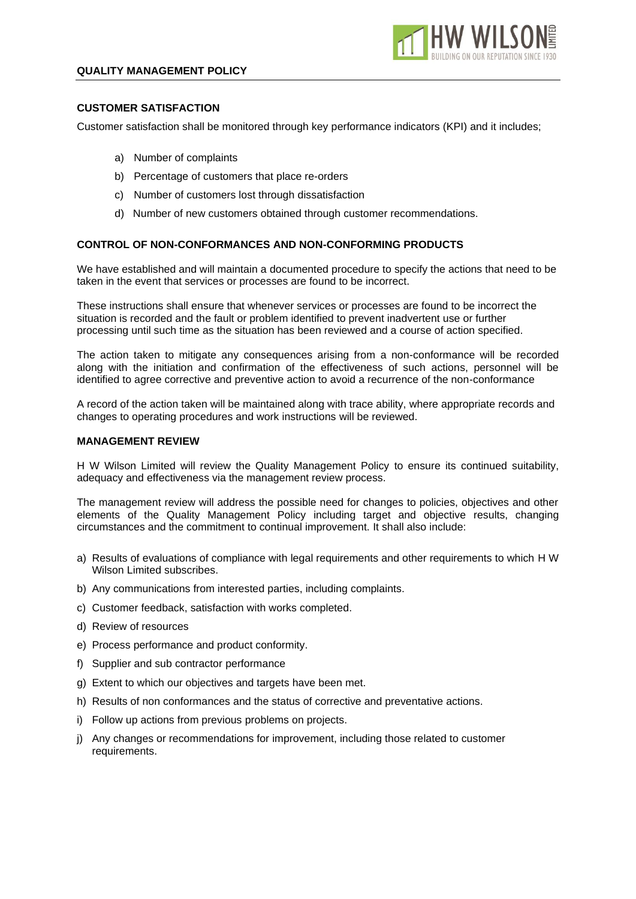# **CUSTOMER SATISFACTION**

Customer satisfaction shall be monitored through key performance indicators (KPI) and it includes;

**HW WILS** 

- a) Number of complaints
- b) Percentage of customers that place re-orders
- c) Number of customers lost through dissatisfaction
- d) Number of new customers obtained through customer recommendations.

# **CONTROL OF NON-CONFORMANCES AND NON-CONFORMING PRODUCTS**

We have established and will maintain a documented procedure to specify the actions that need to be taken in the event that services or processes are found to be incorrect.

These instructions shall ensure that whenever services or processes are found to be incorrect the situation is recorded and the fault or problem identified to prevent inadvertent use or further processing until such time as the situation has been reviewed and a course of action specified.

The action taken to mitigate any consequences arising from a non-conformance will be recorded along with the initiation and confirmation of the effectiveness of such actions, personnel will be identified to agree corrective and preventive action to avoid a recurrence of the non-conformance

A record of the action taken will be maintained along with trace ability, where appropriate records and changes to operating procedures and work instructions will be reviewed.

#### **MANAGEMENT REVIEW**

H W Wilson Limited will review the Quality Management Policy to ensure its continued suitability, adequacy and effectiveness via the management review process.

The management review will address the possible need for changes to policies, objectives and other elements of the Quality Management Policy including target and objective results, changing circumstances and the commitment to continual improvement. It shall also include:

- a) Results of evaluations of compliance with legal requirements and other requirements to which H W Wilson Limited subscribes.
- b) Any communications from interested parties, including complaints.
- c) Customer feedback, satisfaction with works completed.
- d) Review of resources
- e) Process performance and product conformity.
- f) Supplier and sub contractor performance
- g) Extent to which our objectives and targets have been met.
- h) Results of non conformances and the status of corrective and preventative actions.
- i) Follow up actions from previous problems on projects.
- j) Any changes or recommendations for improvement, including those related to customer requirements.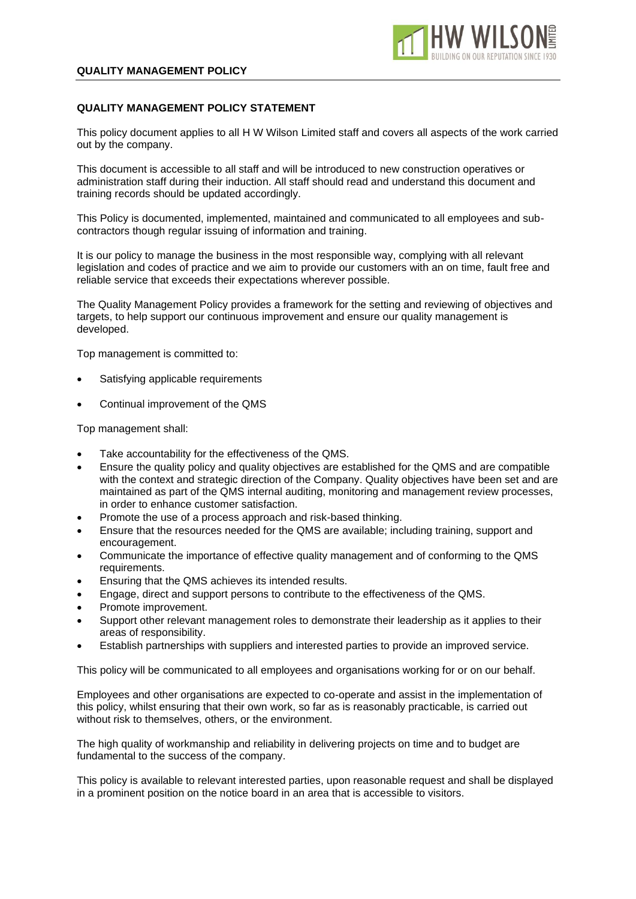# **QUALITY MANAGEMENT POLICY STATEMENT**

This policy document applies to all H W Wilson Limited staff and covers all aspects of the work carried out by the company.

This document is accessible to all staff and will be introduced to new construction operatives or administration staff during their induction. All staff should read and understand this document and training records should be updated accordingly.

This Policy is documented, implemented, maintained and communicated to all employees and subcontractors though regular issuing of information and training.

It is our policy to manage the business in the most responsible way, complying with all relevant legislation and codes of practice and we aim to provide our customers with an on time, fault free and reliable service that exceeds their expectations wherever possible.

The Quality Management Policy provides a framework for the setting and reviewing of objectives and targets, to help support our continuous improvement and ensure our quality management is developed.

Top management is committed to:

- Satisfying applicable requirements
- Continual improvement of the QMS

Top management shall:

- Take accountability for the effectiveness of the QMS.
- Ensure the quality policy and quality objectives are established for the QMS and are compatible with the context and strategic direction of the Company. Quality objectives have been set and are maintained as part of the QMS internal auditing, monitoring and management review processes, in order to enhance customer satisfaction.
- Promote the use of a process approach and risk-based thinking.
- Ensure that the resources needed for the QMS are available; including training, support and encouragement.
- Communicate the importance of effective quality management and of conforming to the QMS requirements.
- Ensuring that the QMS achieves its intended results.
- Engage, direct and support persons to contribute to the effectiveness of the QMS.
- Promote improvement.
- Support other relevant management roles to demonstrate their leadership as it applies to their areas of responsibility.
- Establish partnerships with suppliers and interested parties to provide an improved service.

This policy will be communicated to all employees and organisations working for or on our behalf.

Employees and other organisations are expected to co-operate and assist in the implementation of this policy, whilst ensuring that their own work, so far as is reasonably practicable, is carried out without risk to themselves, others, or the environment.

The high quality of workmanship and reliability in delivering projects on time and to budget are fundamental to the success of the company.

This policy is available to relevant interested parties, upon reasonable request and shall be displayed in a prominent position on the notice board in an area that is accessible to visitors.